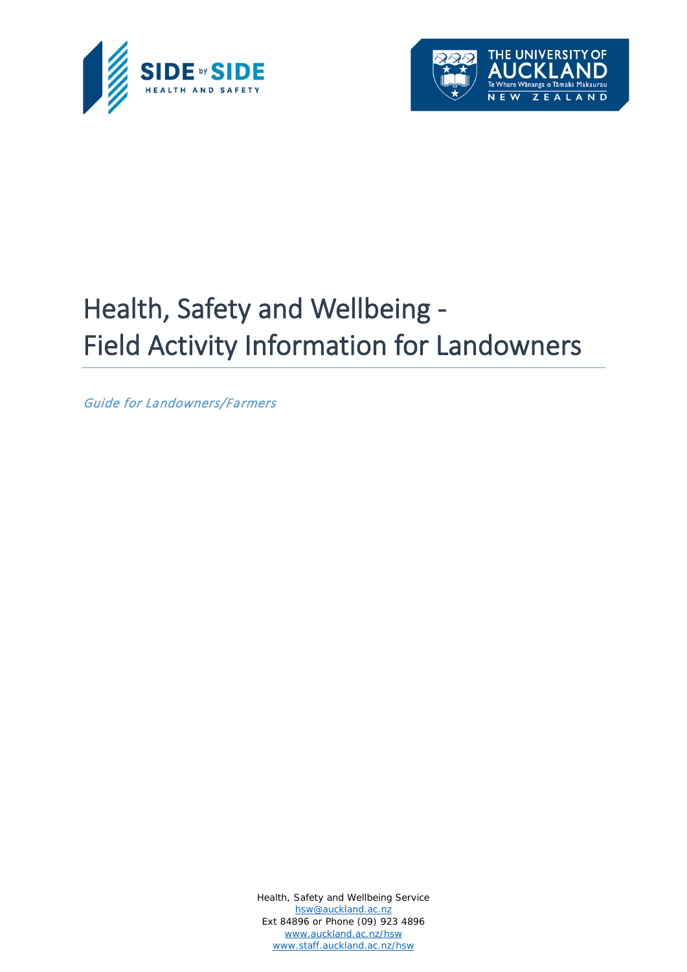



# Health, Safety and Wellbeing - Field Activity Information for Landowners

Guide for Landowners/Farmers

Health, Safety and Wellbeing Service [hsw@auckland.ac.nz](mailto:hsw@auckland.ac.nz) Ext 84896 or Phone (09) 923 4896 [www.auckland.ac.nz/hsw](http://www.auckland.ac.nz/hsw) [www.staff.auckland.ac.nz/hsw](http://www.staff.auckland.ac.nz/hsw)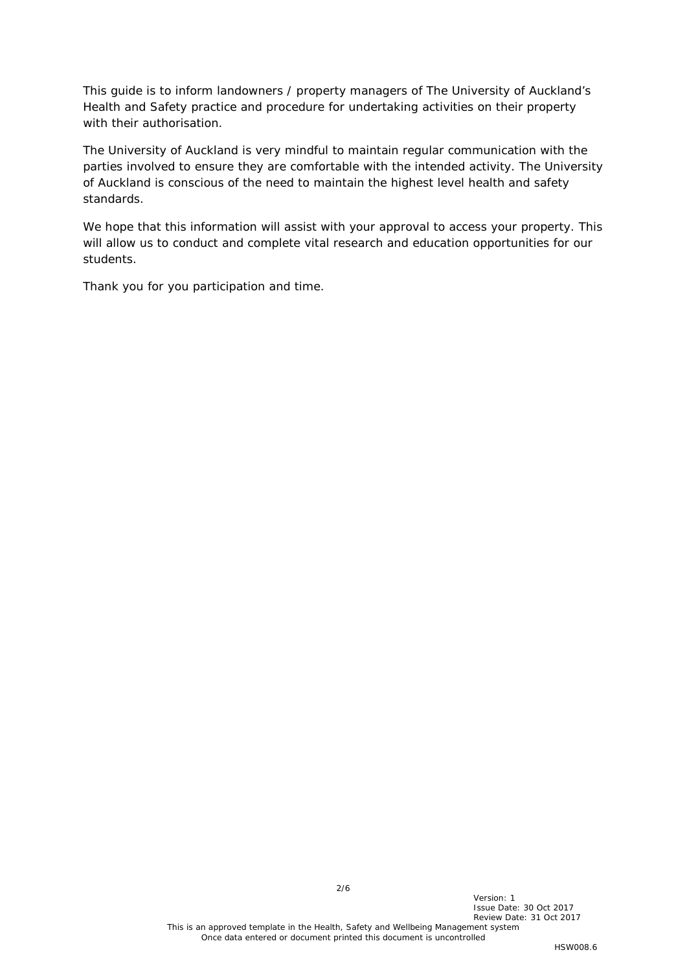This guide is to inform landowners / property managers of The University of Auckland's Health and Safety practice and procedure for undertaking activities on their property with their authorisation.

The University of Auckland is very mindful to maintain regular communication with the parties involved to ensure they are comfortable with the intended activity. The University of Auckland is conscious of the need to maintain the highest level health and safety standards.

We hope that this information will assist with your approval to access your property. This will allow us to conduct and complete vital research and education opportunities for our students.

Thank you for you participation and time.

2/6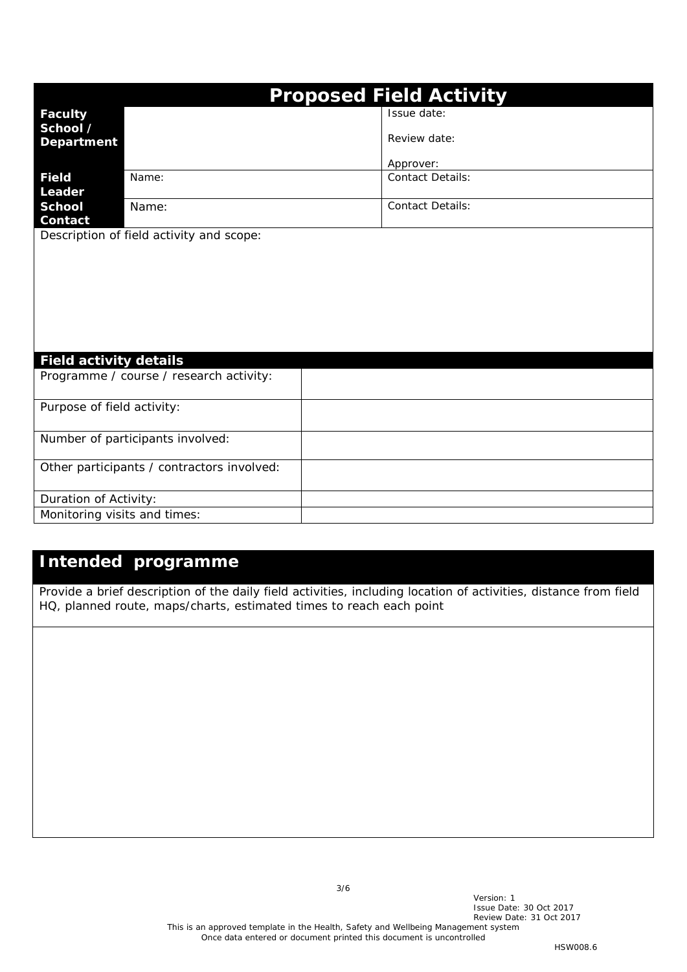| <b>Proposed Field Activity</b>  |                                            |                         |  |  |
|---------------------------------|--------------------------------------------|-------------------------|--|--|
| <b>Faculty</b>                  |                                            | Issue date:             |  |  |
| School /                        |                                            |                         |  |  |
| <b>Department</b>               |                                            | Review date:            |  |  |
|                                 |                                            | Approver:               |  |  |
| Field                           | Name:                                      | <b>Contact Details:</b> |  |  |
| Leader                          |                                            |                         |  |  |
| <b>School</b><br><b>Contact</b> | Name:                                      | <b>Contact Details:</b> |  |  |
|                                 | Description of field activity and scope:   |                         |  |  |
|                                 |                                            |                         |  |  |
|                                 |                                            |                         |  |  |
|                                 |                                            |                         |  |  |
|                                 |                                            |                         |  |  |
|                                 |                                            |                         |  |  |
|                                 |                                            |                         |  |  |
|                                 |                                            |                         |  |  |
| <b>Field activity details</b>   |                                            |                         |  |  |
|                                 | Programme / course / research activity:    |                         |  |  |
|                                 |                                            |                         |  |  |
| Purpose of field activity:      |                                            |                         |  |  |
|                                 | Number of participants involved:           |                         |  |  |
|                                 |                                            |                         |  |  |
|                                 | Other participants / contractors involved: |                         |  |  |
|                                 |                                            |                         |  |  |
| Duration of Activity:           |                                            |                         |  |  |
| Monitoring visits and times:    |                                            |                         |  |  |

# **Intended programme**

*Provide a brief description of the daily field activities, including location of activities, distance from field HQ, planned route, maps/charts, estimated times to reach each point*

3/6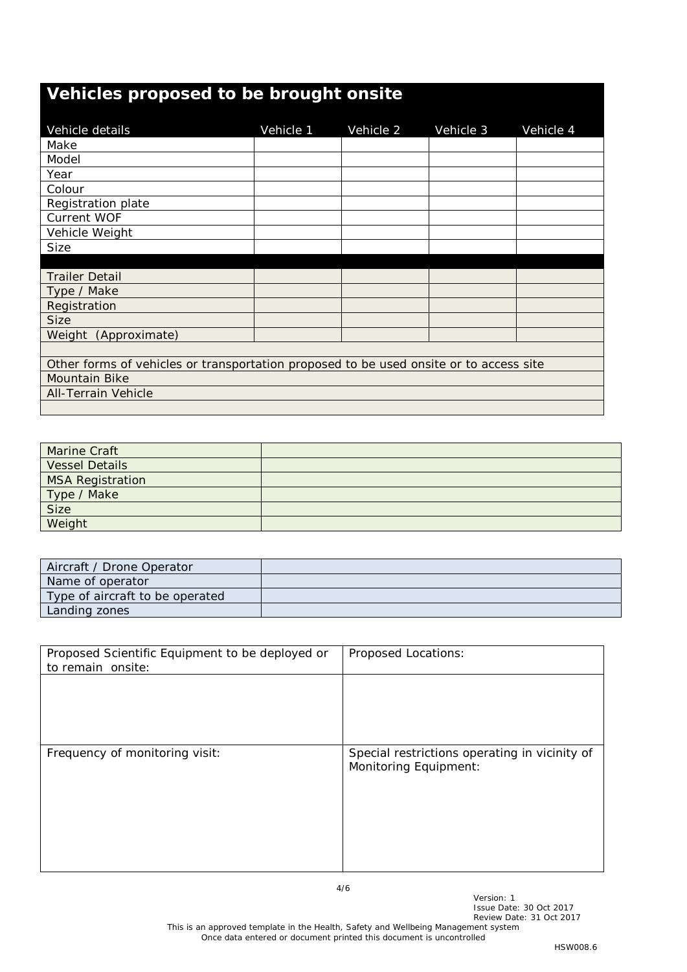# **Vehicles proposed to be brought onsite** Vehicle details Vehicle 1 Vehicle 2 Vehicle 3 Vehicle 4 Make Model Year Colour Registration plate Current WOF Vehicle Weight Size Trailer Detail Type / Make Registration Size Weight (Approximate) Other forms of vehicles or transportation proposed to be used onsite or to access site Mountain Bike All-Terrain Vehicle

| <b>Marine Craft</b>     |  |
|-------------------------|--|
| <b>Vessel Details</b>   |  |
| <b>MSA Registration</b> |  |
|                         |  |
| Type / Make             |  |
| Weight                  |  |

| Aircraft / Drone Operator       |  |
|---------------------------------|--|
| Name of operator                |  |
| Type of aircraft to be operated |  |
| Landing zones                   |  |

| Proposed Scientific Equipment to be deployed or<br>to remain onsite: | Proposed Locations:                                                    |
|----------------------------------------------------------------------|------------------------------------------------------------------------|
|                                                                      |                                                                        |
|                                                                      |                                                                        |
|                                                                      |                                                                        |
| Frequency of monitoring visit:                                       | Special restrictions operating in vicinity of<br>Monitoring Equipment: |
|                                                                      |                                                                        |
|                                                                      |                                                                        |
|                                                                      |                                                                        |
|                                                                      |                                                                        |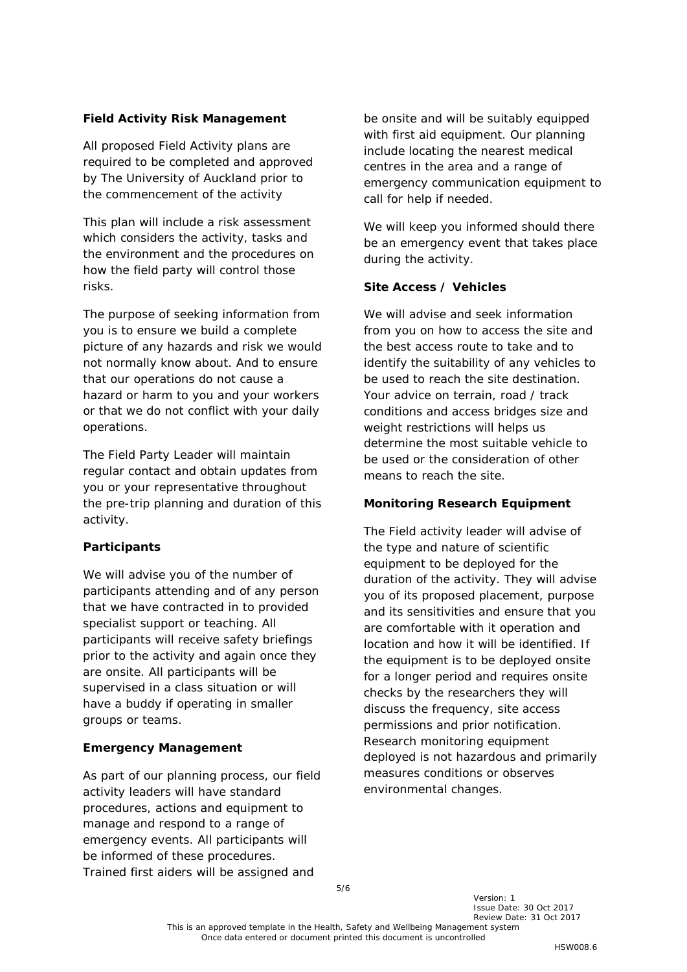# **Field Activity Risk Management**

All proposed Field Activity plans are required to be completed and approved by The University of Auckland prior to the commencement of the activity

This plan will include a risk assessment which considers the activity, tasks and the environment and the procedures on how the field party will control those risks.

The purpose of seeking information from you is to ensure we build a complete picture of any hazards and risk we would not normally know about. And to ensure that our operations do not cause a hazard or harm to you and your workers or that we do not conflict with your daily operations.

The Field Party Leader will maintain regular contact and obtain updates from you or your representative throughout the pre-trip planning and duration of this activity.

# **Participants**

We will advise you of the number of participants attending and of any person that we have contracted in to provided specialist support or teaching. All participants will receive safety briefings prior to the activity and again once they are onsite. All participants will be supervised in a class situation or will have a buddy if operating in smaller groups or teams.

### **Emergency Management**

As part of our planning process, our field activity leaders will have standard procedures, actions and equipment to manage and respond to a range of emergency events. All participants will be informed of these procedures. Trained first aiders will be assigned and

be onsite and will be suitably equipped with first aid equipment. Our planning include locating the nearest medical centres in the area and a range of emergency communication equipment to call for help if needed.

We will keep you informed should there be an emergency event that takes place during the activity.

# **Site Access / Vehicles**

We will advise and seek information from you on how to access the site and the best access route to take and to identify the suitability of any vehicles to be used to reach the site destination. Your advice on terrain, road / track conditions and access bridges size and weight restrictions will helps us determine the most suitable vehicle to be used or the consideration of other means to reach the site.

### **Monitoring Research Equipment**

The Field activity leader will advise of the type and nature of scientific equipment to be deployed for the duration of the activity. They will advise you of its proposed placement, purpose and its sensitivities and ensure that you are comfortable with it operation and location and how it will be identified. If the equipment is to be deployed onsite for a longer period and requires onsite checks by the researchers they will discuss the frequency, site access permissions and prior notification. Research monitoring equipment deployed is not hazardous and primarily measures conditions or observes environmental changes.

Version: 1 Issue Date: 30 Oct 2017 Review Date: 31 Oct 2017

This is an approved template in the Health, Safety and Wellbeing Management system Once data entered or document printed this document is uncontrolled